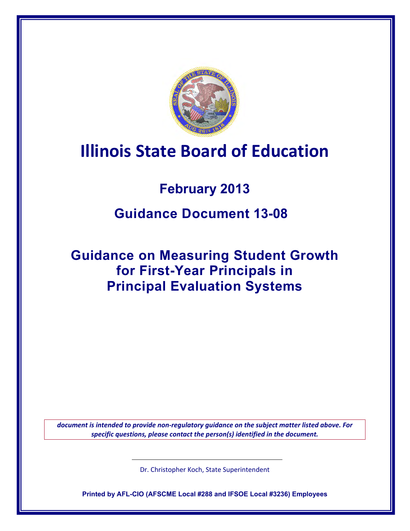

# **Illinois State Board of Education**

## **February 2013**

## **Guidance Document 13-08**

## **Guidance on Measuring Student Growth for First-Year Principals in Principal Evaluation Systems**

*document is intended to provide non-regulatory guidance on the subject matter listed above. For specific questions, please contact the person(s) identified in the document.*

Dr. Christopher Koch, State Superintendent

**Printed by AFL-CIO (AFSCME Local #288 and IFSOE Local #3236) Employees**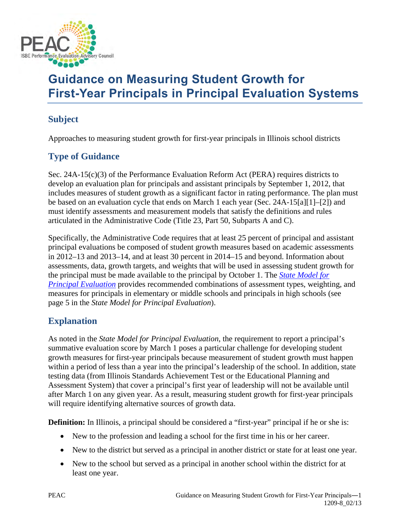

## **Guidance on Measuring Student Growth for First-Year Principals in Principal Evaluation Systems**

### **Subject**

Approaches to measuring student growth for first-year principals in Illinois school districts

## **Type of Guidance**

Sec.  $24A-15(c)(3)$  of the Performance Evaluation Reform Act (PERA) requires districts to develop an evaluation plan for principals and assistant principals by September 1, 2012, that includes measures of student growth as a significant factor in rating performance. The plan must be based on an evaluation cycle that ends on March 1 each year (Sec. 24A-15[a][1]–[2]) and must identify assessments and measurement models that satisfy the definitions and rules articulated in the Administrative Code (Title 23, Part 50, Subparts A and C).

Specifically, the Administrative Code requires that at least 25 percent of principal and assistant principal evaluations be composed of student growth measures based on academic assessments in 2012–13 and 2013–14, and at least 30 percent in 2014–15 and beyond. Information about assessments, data, growth targets, and weights that will be used in assessing student growth for the principal must be made available to the principal by October 1. The *[State Model for](http://www.isbe.state.il.us/peac/word/peac_prin_eval_model.pdf)  [Principal Evaluation](http://www.isbe.state.il.us/peac/word/peac_prin_eval_model.pdf)* provides recommended combinations of assessment types, weighting, and measures for principals in elementary or middle schools and principals in high schools (see page 5 in the *State Model for Principal Evaluation*).

### **Explanation**

As noted in the *State Model for Principal Evaluation*, the requirement to report a principal's summative evaluation score by March 1 poses a particular challenge for developing student growth measures for first-year principals because measurement of student growth must happen within a period of less than a year into the principal's leadership of the school. In addition, state testing data (from Illinois Standards Achievement Test or the Educational Planning and Assessment System) that cover a principal's first year of leadership will not be available until after March 1 on any given year. As a result, measuring student growth for first-year principals will require identifying alternative sources of growth data.

**Definition:** In Illinois, a principal should be considered a "first-year" principal if he or she is:

- New to the profession and leading a school for the first time in his or her career.
- New to the district but served as a principal in another district or state for at least one year.
- New to the school but served as a principal in another school within the district for at least one year.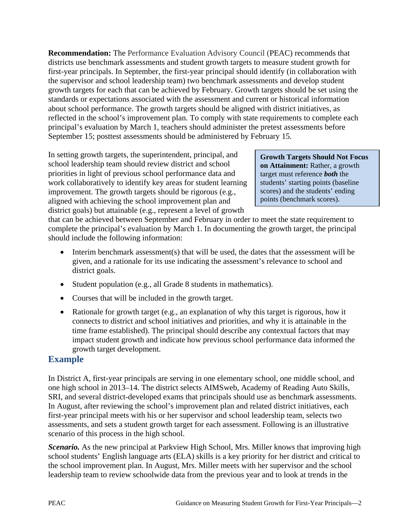**Recommendation:** The Performance Evaluation Advisory Council (PEAC) recommends that districts use benchmark assessments and student growth targets to measure student growth for first-year principals. In September, the first-year principal should identify (in collaboration with the supervisor and school leadership team) two benchmark assessments and develop student growth targets for each that can be achieved by February. Growth targets should be set using the standards or expectations associated with the assessment and current or historical information about school performance. The growth targets should be aligned with district initiatives, as reflected in the school's improvement plan. To comply with state requirements to complete each principal's evaluation by March 1, teachers should administer the pretest assessments before September 15; posttest assessments should be administered by February 15.

In setting growth targets, the superintendent, principal, and school leadership team should review district and school priorities in light of previous school performance data and work collaboratively to identify key areas for student learning improvement. The growth targets should be rigorous (e.g., aligned with achieving the school improvement plan and district goals) but attainable (e.g., represent a level of growth

**Growth Targets Should Not Focus on Attainment:** Rather, a growth target must reference *both* the students' starting points (baseline scores) and the students' ending points (benchmark scores).

that can be achieved between September and February in order to meet the state requirement to complete the principal's evaluation by March 1. In documenting the growth target, the principal should include the following information:

- Interim benchmark assessment(s) that will be used, the dates that the assessment will be given, and a rationale for its use indicating the assessment's relevance to school and district goals.
- Student population (e.g., all Grade 8 students in mathematics).
- Courses that will be included in the growth target.
- Rationale for growth target (e.g., an explanation of why this target is rigorous, how it connects to district and school initiatives and priorities, and why it is attainable in the time frame established). The principal should describe any contextual factors that may impact student growth and indicate how previous school performance data informed the growth target development.

### **Example**

In District A, first-year principals are serving in one elementary school, one middle school, and one high school in 2013–14. The district selects AIMSweb, Academy of Reading Auto Skills, SRI, and several district-developed exams that principals should use as benchmark assessments. In August, after reviewing the school's improvement plan and related district initiatives, each first-year principal meets with his or her supervisor and school leadership team, selects two assessments, and sets a student growth target for each assessment. Following is an illustrative scenario of this process in the high school.

*Scenario.* As the new principal at Parkview High School, Mrs. Miller knows that improving high school students' English language arts (ELA) skills is a key priority for her district and critical to the school improvement plan. In August, Mrs. Miller meets with her supervisor and the school leadership team to review schoolwide data from the previous year and to look at trends in the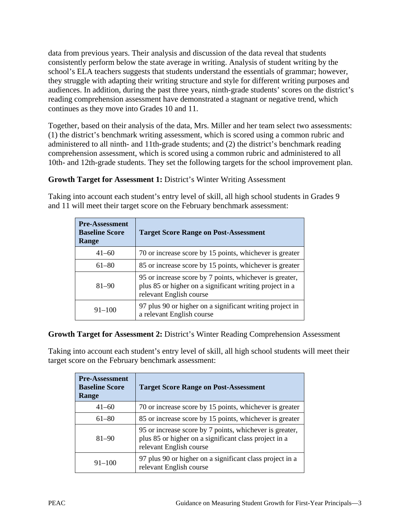data from previous years. Their analysis and discussion of the data reveal that students consistently perform below the state average in writing. Analysis of student writing by the school's ELA teachers suggests that students understand the essentials of grammar; however, they struggle with adapting their writing structure and style for different writing purposes and audiences. In addition, during the past three years, ninth-grade students' scores on the district's reading comprehension assessment have demonstrated a stagnant or negative trend, which continues as they move into Grades 10 and 11.

Together, based on their analysis of the data, Mrs. Miller and her team select two assessments: (1) the district's benchmark writing assessment, which is scored using a common rubric and administered to all ninth- and 11th-grade students; and (2) the district's benchmark reading comprehension assessment, which is scored using a common rubric and administered to all 10th- and 12th-grade students. They set the following targets for the school improvement plan.

#### **Growth Target for Assessment 1:** District's Winter Writing Assessment

Taking into account each student's entry level of skill, all high school students in Grades 9 and 11 will meet their target score on the February benchmark assessment:

| <b>Pre-Assessment</b><br><b>Baseline Score</b><br>Range | <b>Target Score Range on Post-Assessment</b>                                                                                                  |
|---------------------------------------------------------|-----------------------------------------------------------------------------------------------------------------------------------------------|
| $41 - 60$                                               | 70 or increase score by 15 points, whichever is greater                                                                                       |
| $61 - 80$                                               | 85 or increase score by 15 points, whichever is greater                                                                                       |
| $81 - 90$                                               | 95 or increase score by 7 points, whichever is greater,<br>plus 85 or higher on a significant writing project in a<br>relevant English course |
| $91 - 100$                                              | 97 plus 90 or higher on a significant writing project in<br>a relevant English course                                                         |

#### **Growth Target for Assessment 2:** District's Winter Reading Comprehension Assessment

Taking into account each student's entry level of skill, all high school students will meet their target score on the February benchmark assessment:

| <b>Pre-Assessment</b><br><b>Baseline Score</b><br><b>Range</b> | <b>Target Score Range on Post-Assessment</b>                                                                                                |
|----------------------------------------------------------------|---------------------------------------------------------------------------------------------------------------------------------------------|
| $41 - 60$                                                      | 70 or increase score by 15 points, whichever is greater                                                                                     |
| $61 - 80$                                                      | 85 or increase score by 15 points, whichever is greater                                                                                     |
| $81 - 90$                                                      | 95 or increase score by 7 points, whichever is greater,<br>plus 85 or higher on a significant class project in a<br>relevant English course |
| $91 - 100$                                                     | 97 plus 90 or higher on a significant class project in a<br>relevant English course                                                         |